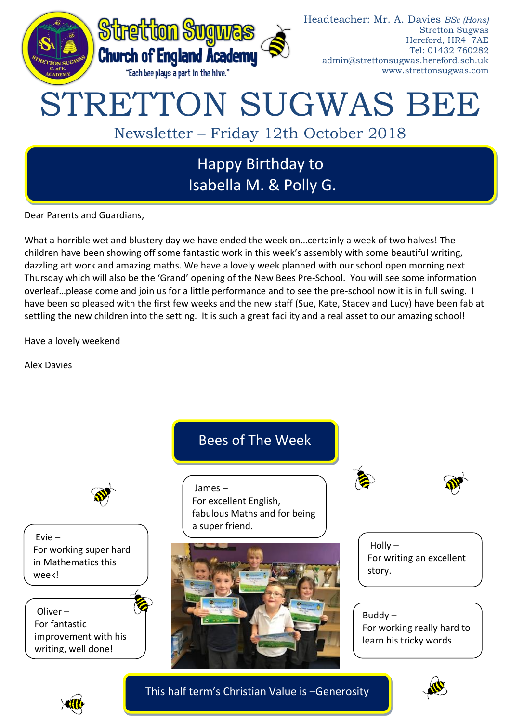

Dear Parents and Guardians,

What a horrible wet and blustery day we have ended the week on…certainly a week of two halves! The children have been showing off some fantastic work in this week's assembly with some beautiful writing, dazzling art work and amazing maths. We have a lovely week planned with our school open morning next Thursday which will also be the 'Grand' opening of the New Bees Pre-School. You will see some information overleaf…please come and join us for a little performance and to see the pre-school now it is in full swing. I have been so pleased with the first few weeks and the new staff (Sue, Kate, Stacey and Lucy) have been fab at settling the new children into the setting. It is such a great facility and a real asset to our amazing school!

Have a lovely weekend

Alex Davies



This half term's Christian Value is –Generosity